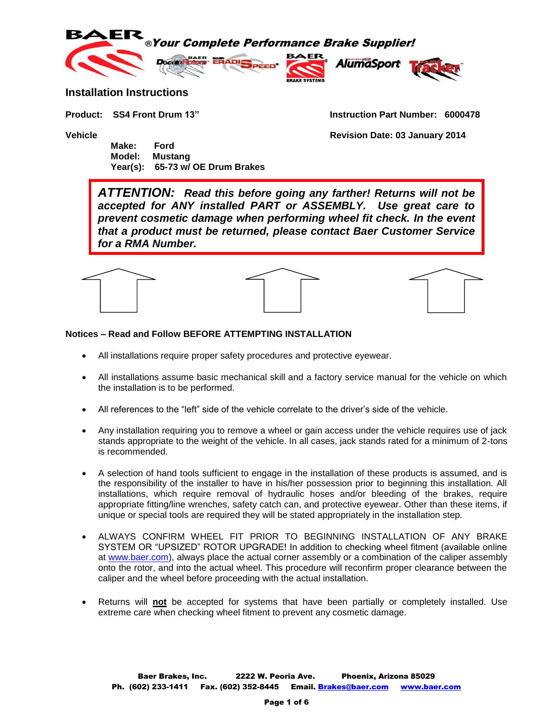



#### **Installation Instructions**

 **Make: Ford Model: Mustang Year(s): 65-73 w/ OE Drum Brakes**

**Product: SS4 Front Drum 13" Instruction Part Number: 6000478**

**Vehicle Revision Date: 03 January 2014**

*ATTENTION: Read this before going any farther! Returns will not be accepted for ANY installed PART or ASSEMBLY. Use great care to prevent cosmetic damage when performing wheel fit check. In the event that a product must be returned, please contact Baer Customer Service for a RMA Number.*



#### **Notices – Read and Follow BEFORE ATTEMPTING INSTALLATION**

- All installations require proper safety procedures and protective eyewear.
- All installations assume basic mechanical skill and a factory service manual for the vehicle on which the installation is to be performed.
- All references to the "left" side of the vehicle correlate to the driver's side of the vehicle.
- Any installation requiring you to remove a wheel or gain access under the vehicle requires use of jack stands appropriate to the weight of the vehicle. In all cases, jack stands rated for a minimum of 2-tons is recommended.
- A selection of hand tools sufficient to engage in the installation of these products is assumed, and is the responsibility of the installer to have in his/her possession prior to beginning this installation. All installations, which require removal of hydraulic hoses and/or bleeding of the brakes, require appropriate fitting/line wrenches, safety catch can, and protective eyewear. Other than these items, if unique or special tools are required they will be stated appropriately in the installation step.
- ALWAYS CONFIRM WHEEL FIT PRIOR TO BEGINNING INSTALLATION OF ANY BRAKE SYSTEM OR "UPSIZED" ROTOR UPGRADE! In addition to checking wheel fitment (available online at [www.baer.com\)](http://www.baer.com/), always place the actual corner assembly or a combination of the caliper assembly onto the rotor, and into the actual wheel. This procedure will reconfirm proper clearance between the caliper and the wheel before proceeding with the actual installation.
- Returns will **not** be accepted for systems that have been partially or completely installed. Use extreme care when checking wheel fitment to prevent any cosmetic damage.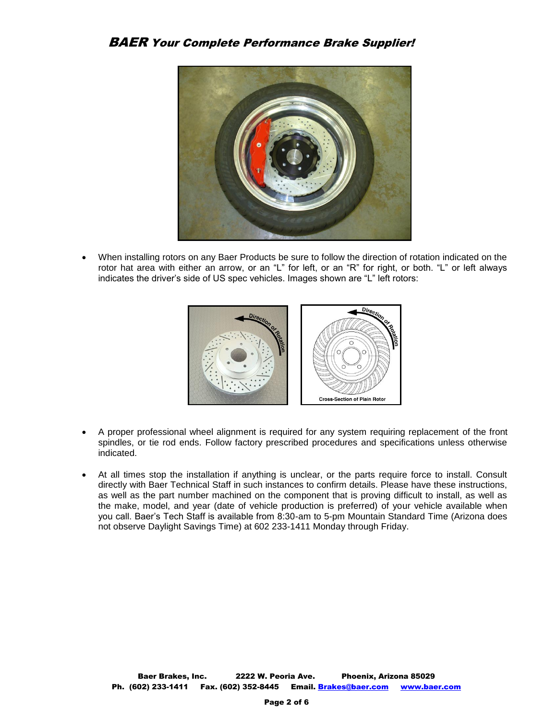### BAER Your Complete Performance Brake Supplier!



 When installing rotors on any Baer Products be sure to follow the direction of rotation indicated on the rotor hat area with either an arrow, or an "L" for left, or an "R" for right, or both. "L" or left always indicates the driver's side of US spec vehicles. Images shown are "L" left rotors:



- A proper professional wheel alignment is required for any system requiring replacement of the front spindles, or tie rod ends. Follow factory prescribed procedures and specifications unless otherwise indicated.
- At all times stop the installation if anything is unclear, or the parts require force to install. Consult directly with Baer Technical Staff in such instances to confirm details. Please have these instructions, as well as the part number machined on the component that is proving difficult to install, as well as the make, model, and year (date of vehicle production is preferred) of your vehicle available when you call. Baer's Tech Staff is available from 8:30-am to 5-pm Mountain Standard Time (Arizona does not observe Daylight Savings Time) at 602 233-1411 Monday through Friday.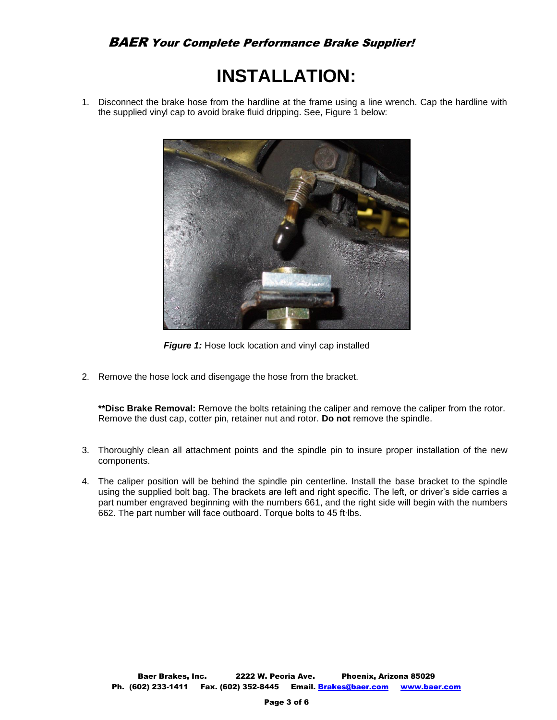# **INSTALLATION:**

1. Disconnect the brake hose from the hardline at the frame using a line wrench. Cap the hardline with the supplied vinyl cap to avoid brake fluid dripping. See, Figure 1 below:



**Figure 1:** Hose lock location and vinyl cap installed

2. Remove the hose lock and disengage the hose from the bracket.

**\*\*Disc Brake Removal:** Remove the bolts retaining the caliper and remove the caliper from the rotor. Remove the dust cap, cotter pin, retainer nut and rotor. **Do not** remove the spindle.

- 3. Thoroughly clean all attachment points and the spindle pin to insure proper installation of the new components.
- 4. The caliper position will be behind the spindle pin centerline. Install the base bracket to the spindle using the supplied bolt bag. The brackets are left and right specific. The left, or driver's side carries a part number engraved beginning with the numbers 661, and the right side will begin with the numbers 662. The part number will face outboard. Torque bolts to 45 ft∙lbs.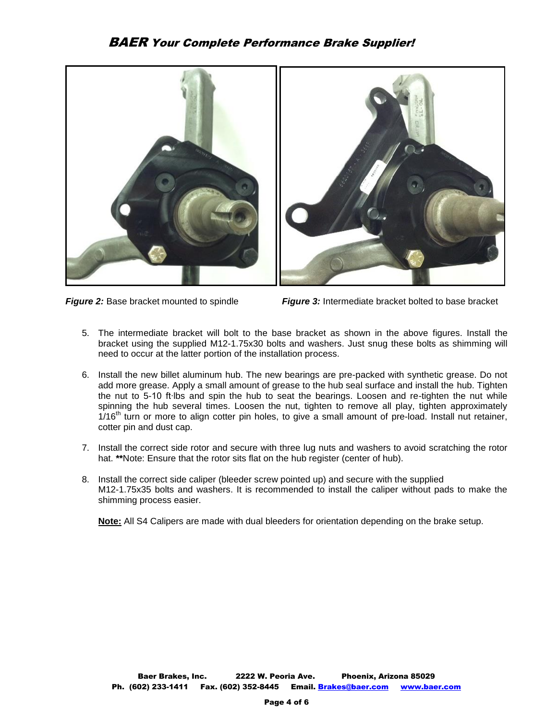## BAER Your Complete Performance Brake Supplier!



*Figure 2:* Base bracket mounted to spindle*Figure 3:* Intermediate bracket bolted to base bracket

- 5. The intermediate bracket will bolt to the base bracket as shown in the above figures. Install the bracket using the supplied M12-1.75x30 bolts and washers. Just snug these bolts as shimming will need to occur at the latter portion of the installation process.
- 6. Install the new billet aluminum hub. The new bearings are pre-packed with synthetic grease. Do not add more grease. Apply a small amount of grease to the hub seal surface and install the hub. Tighten the nut to 5-10 ft∙lbs and spin the hub to seat the bearings. Loosen and re-tighten the nut while spinning the hub several times. Loosen the nut, tighten to remove all play, tighten approximately  $1/16<sup>th</sup>$  turn or more to align cotter pin holes, to give a small amount of pre-load. Install nut retainer, cotter pin and dust cap.
- 7. Install the correct side rotor and secure with three lug nuts and washers to avoid scratching the rotor hat. **\*\***Note: Ensure that the rotor sits flat on the hub register (center of hub).
- 8. Install the correct side caliper (bleeder screw pointed up) and secure with the supplied M12-1.75x35 bolts and washers. It is recommended to install the caliper without pads to make the shimming process easier.

**Note:** All S4 Calipers are made with dual bleeders for orientation depending on the brake setup.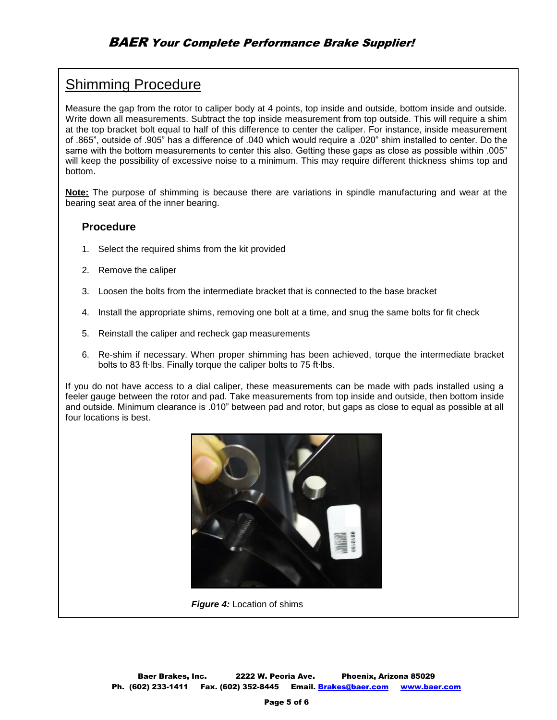## Shimming Procedure

Measure the gap from the rotor to caliper body at 4 points, top inside and outside, bottom inside and outside. Write down all measurements. Subtract the top inside measurement from top outside. This will require a shim at the top bracket bolt equal to half of this difference to center the caliper. For instance, inside measurement of .865", outside of .905" has a difference of .040 which would require a .020" shim installed to center. Do the same with the bottom measurements to center this also. Getting these gaps as close as possible within .005" will keep the possibility of excessive noise to a minimum. This may require different thickness shims top and bottom.

**Note:** The purpose of shimming is because there are variations in spindle manufacturing and wear at the bearing seat area of the inner bearing.

#### **Procedure**

- 1. Select the required shims from the kit provided
- 2. Remove the caliper
- 3. Loosen the bolts from the intermediate bracket that is connected to the base bracket
- 4. Install the appropriate shims, removing one bolt at a time, and snug the same bolts for fit check
- 5. Reinstall the caliper and recheck gap measurements
- 6. Re-shim if necessary. When proper shimming has been achieved, torque the intermediate bracket bolts to 83 ft∙lbs. Finally torque the caliper bolts to 75 ft∙lbs.

If you do not have access to a dial caliper, these measurements can be made with pads installed using a feeler gauge between the rotor and pad. Take measurements from top inside and outside, then bottom inside and outside. Minimum clearance is .010" between pad and rotor, but gaps as close to equal as possible at all four locations is best.



 *Figure 4:* Location of shims